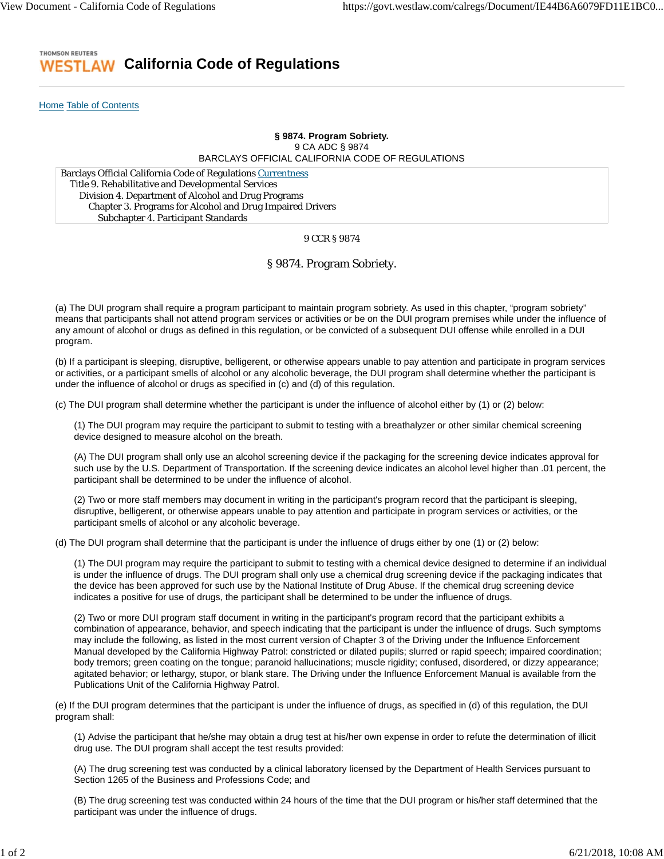#### THOMSON REUTERS **California Code of Regulations** ESTL AW

Home Table of Contents

# **§ 9874. Program Sobriety.** 9 CA ADC § 9874 BARCLAYS OFFICIAL CALIFORNIA CODE OF REGULATIONS

Barclays Official California Code of Regulations Currentness Title 9. Rehabilitative and Developmental Services Division 4. Department of Alcohol and Drug Programs Chapter 3. Programs for Alcohol and Drug Impaired Drivers Subchapter 4. Participant Standards

### 9 CCR § 9874

## § 9874. Program Sobriety.

(a) The DUI program shall require a program participant to maintain program sobriety. As used in this chapter, "program sobriety" means that participants shall not attend program services or activities or be on the DUI program premises while under the influence of any amount of alcohol or drugs as defined in this regulation, or be convicted of a subsequent DUI offense while enrolled in a DUI program.

(b) If a participant is sleeping, disruptive, belligerent, or otherwise appears unable to pay attention and participate in program services or activities, or a participant smells of alcohol or any alcoholic beverage, the DUI program shall determine whether the participant is under the influence of alcohol or drugs as specified in (c) and (d) of this regulation.

(c) The DUI program shall determine whether the participant is under the influence of alcohol either by (1) or (2) below:

(1) The DUI program may require the participant to submit to testing with a breathalyzer or other similar chemical screening device designed to measure alcohol on the breath.

(A) The DUI program shall only use an alcohol screening device if the packaging for the screening device indicates approval for such use by the U.S. Department of Transportation. If the screening device indicates an alcohol level higher than .01 percent, the participant shall be determined to be under the influence of alcohol.

(2) Two or more staff members may document in writing in the participant's program record that the participant is sleeping, disruptive, belligerent, or otherwise appears unable to pay attention and participate in program services or activities, or the participant smells of alcohol or any alcoholic beverage.

(d) The DUI program shall determine that the participant is under the influence of drugs either by one (1) or (2) below:

(1) The DUI program may require the participant to submit to testing with a chemical device designed to determine if an individual is under the influence of drugs. The DUI program shall only use a chemical drug screening device if the packaging indicates that the device has been approved for such use by the National Institute of Drug Abuse. If the chemical drug screening device indicates a positive for use of drugs, the participant shall be determined to be under the influence of drugs.

(2) Two or more DUI program staff document in writing in the participant's program record that the participant exhibits a combination of appearance, behavior, and speech indicating that the participant is under the influence of drugs. Such symptoms may include the following, as listed in the most current version of Chapter 3 of the Driving under the Influence Enforcement Manual developed by the California Highway Patrol: constricted or dilated pupils; slurred or rapid speech; impaired coordination; body tremors; green coating on the tongue; paranoid hallucinations; muscle rigidity; confused, disordered, or dizzy appearance; agitated behavior; or lethargy, stupor, or blank stare. The Driving under the Influence Enforcement Manual is available from the Publications Unit of the California Highway Patrol.

(e) If the DUI program determines that the participant is under the influence of drugs, as specified in (d) of this regulation, the DUI program shall:

(1) Advise the participant that he/she may obtain a drug test at his/her own expense in order to refute the determination of illicit drug use. The DUI program shall accept the test results provided:

(A) The drug screening test was conducted by a clinical laboratory licensed by the Department of Health Services pursuant to Section 1265 of the Business and Professions Code; and

(B) The drug screening test was conducted within 24 hours of the time that the DUI program or his/her staff determined that the participant was under the influence of drugs.